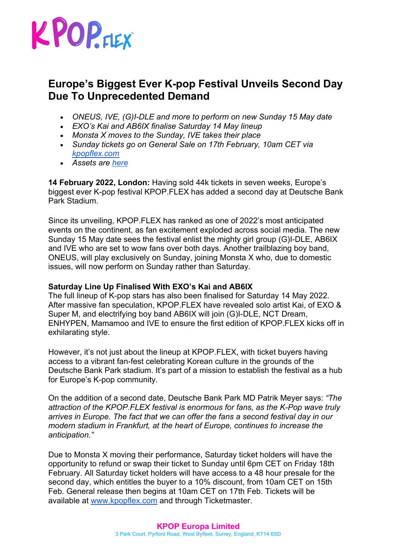

# **Europe's Biggest Ever K-pop Festival Unveils Second Day Due To Unprecedented Demand**

- *ONEUS, IVE, (G)I-DLE and more to perform on new Sunday 15 May date*
- *EXO's Kai and AB6IX finalise Saturday 14 May lineup*
- *Monsta X moves to the Sunday, IVE takes their place*
- *Sunday tickets go on General Sale on 17th February, 10am CET via kpopflex.com*
- *Assets are here*

**14 February 2022, London:** Having sold 44k tickets in seven weeks, Europe's biggest ever K-pop festival KPOP.FLEX has added a second day at Deutsche Bank Park Stadium.

Since its unveiling, KPOP.FLEX has ranked as one of 2022's most anticipated events on the continent, as fan excitement exploded across social media. The new Sunday 15 May date sees the festival enlist the mighty girl group (G)I-DLE, AB6IX and IVE who are set to wow fans over both days. Another trailblazing boy band, ONEUS, will play exclusively on Sunday, joining Monsta X who, due to domestic issues, will now perform on Sunday rather than Saturday.

# **Saturday Line Up Finalised With EXO's Kai and AB6IX**

The full lineup of K-pop stars has also been finalised for Saturday 14 May 2022. After massive fan speculation, KPOP.FLEX have revealed solo artist Kai, of EXO & Super M, and electrifying boy band AB6IX will join (G)I-DLE, NCT Dream, ENHYPEN, Mamamoo and IVE to ensure the first edition of KPOP.FLEX kicks off in exhilarating style.

However, it's not just about the lineup at KPOP.FLEX, with ticket buyers having access to a vibrant fan-fest celebrating Korean culture in the grounds of the Deutsche Bank Park stadium. It's part of a mission to establish the festival as a hub for Europe's K-pop community.

On the addition of a second date, Deutsche Bank Park MD Patrik Meyer says: *"The attraction of the KPOP.FLEX festival is enormous for fans, as the K-Pop wave truly arrives in Europe. The fact that we can offer the fans a second festival day in our modern stadium in Frankfurt, at the heart of Europe, continues to increase the anticipation."*

Due to Monsta X moving their performance, Saturday ticket holders will have the opportunity to refund or swap their ticket to Sunday until 6pm CET on Friday 18th February. All Saturday ticket holders will have access to a 48 hour presale for the second day, which entitles the buyer to a 10% discount, from 10am CET on 15th Feb. General release then begins at 10am CET on 17th Feb. Tickets will be available at www.kpopflex.com and through Ticketmaster.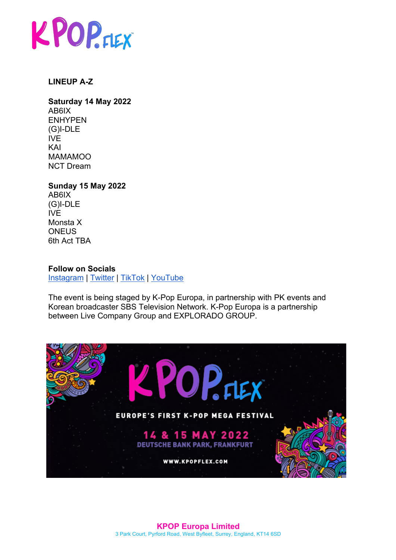

### **LINEUP A-Z**

**Saturday 14 May 2022** AB6IX ENHYPEN (G)I-DLE IVE KAI MAMAMOO NCT Dream

#### **Sunday 15 May 2022** AB6IX (G)I-DLE IVE Monsta X

**ONEUS** 6th Act TBA

### **Follow on Socials**

Instagram | Twitter | TikTok | YouTube

The event is being staged by K-Pop Europa, in partnership with PK events and Korean broadcaster SBS Television Network. K-Pop Europa is a partnership between Live Company Group and EXPLORADO GROUP.

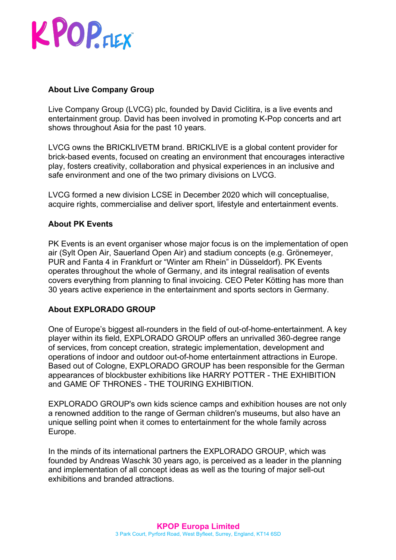# KPOPFIEX

# **About Live Company Group**

Live Company Group (LVCG) plc, founded by David Ciclitira, is a live events and entertainment group. David has been involved in promoting K-Pop concerts and art shows throughout Asia for the past 10 years.

LVCG owns the BRICKLIVETM brand. BRICKLIVE is a global content provider for brick-based events, focused on creating an environment that encourages interactive play, fosters creativity, collaboration and physical experiences in an inclusive and safe environment and one of the two primary divisions on LVCG.

LVCG formed a new division LCSE in December 2020 which will conceptualise, acquire rights, commercialise and deliver sport, lifestyle and entertainment events.

# **About PK Events**

PK Events is an event organiser whose major focus is on the implementation of open air (Sylt Open Air, Sauerland Open Air) and stadium concepts (e.g. Grönemeyer, PUR and Fanta 4 in Frankfurt or "Winter am Rhein" in Düsseldorf). PK Events operates throughout the whole of Germany, and its integral realisation of events covers everything from planning to final invoicing. CEO Peter Kötting has more than 30 years active experience in the entertainment and sports sectors in Germany.

# **About EXPLORADO GROUP**

One of Europe's biggest all-rounders in the field of out-of-home-entertainment. A key player within its field, EXPLORADO GROUP offers an unrivalled 360-degree range of services, from concept creation, strategic implementation, development and operations of indoor and outdoor out-of-home entertainment attractions in Europe. Based out of Cologne, EXPLORADO GROUP has been responsible for the German appearances of blockbuster exhibitions like HARRY POTTER - THE EXHIBITION and GAME OF THRONES - THE TOURING EXHIBITION.

EXPLORADO GROUP's own kids science camps and exhibition houses are not only a renowned addition to the range of German children's museums, but also have an unique selling point when it comes to entertainment for the whole family across Europe.

In the minds of its international partners the EXPLORADO GROUP, which was founded by Andreas Waschk 30 years ago, is perceived as a leader in the planning and implementation of all concept ideas as well as the touring of major sell-out exhibitions and branded attractions.